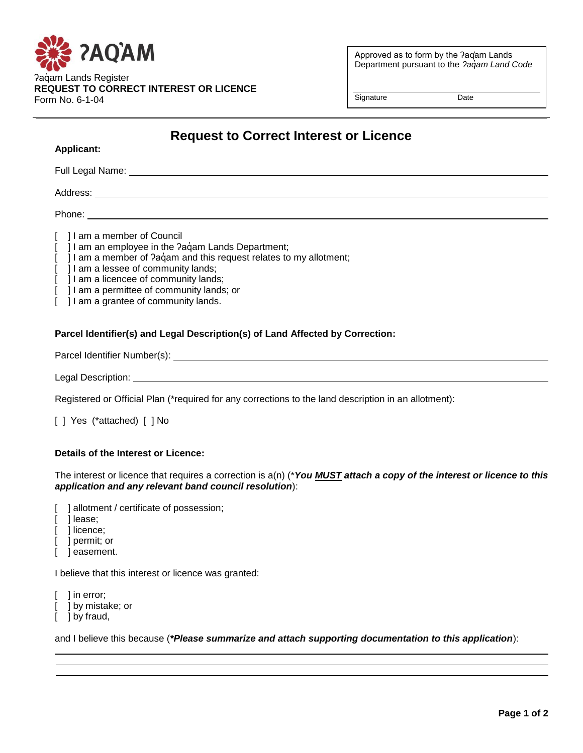

Approved as to form by the ʔaq̓am Lands Department pursuant to the *ʔaq̓am Land Code*

Signature Date

# **Request to Correct Interest or Licence**

Full Legal Name: University of the University of the University of the University of the University of the University of the University of the University of the University of the University of the University of the Univers Address: Phone: **Example 2018** [ ] I am a member of Council [ ] I am an employee in the ?aqvam Lands Department;

- [ ] I am a member of ?a $\dot{q}$ am and this request relates to my allotment;
- [ ] I am a lessee of community lands;
- [ ] I am a licencee of community lands;
- [ ] I am a permittee of community lands; or
- [ ] I am a grantee of community lands.

## **Parcel Identifier(s) and Legal Description(s) of Land Affected by Correction:**

Parcel Identifier Number(s): National Assembly 2014 12:30 and 2014 12:30 and 2014 12:30 and 2014 12:30 and 2014 12:30 and 2014 12:30 and 2014 12:30 and 2014 12:30 and 2014 12:30 and 2014 12:30 and 2014 12:30 and 2014 12:30

Legal Description: \_\_\_\_\_\_\_\_\_\_\_

**Applicant:** 

Registered or Official Plan (\*required for any corrections to the land description in an allotment):

[] Yes (\*attached) [] No

#### **Details of the Interest or Licence:**

The interest or licence that requires a correction is a(n) (\**You MUST attach a copy of the interest or licence to this application and any relevant band council resolution*):

[ ] allotment / certificate of possession;

- [ ] lease;
- 1 licence:
- [ ] permit; or
- ] easement.

I believe that this interest or licence was granted:

[ ] in error;

- [ ] by mistake; or
- [ ] by fraud,

and I believe this because (*\*Please summarize and attach supporting documentation to this application*):